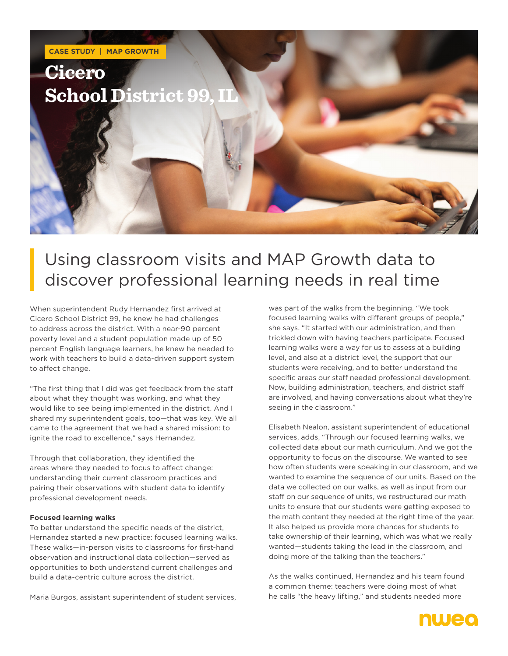

## Using classroom visits and MAP Growth data to discover professional learning needs in real time

When superintendent Rudy Hernandez first arrived at Cicero School District 99, he knew he had challenges to address across the district. With a near-90 percent poverty level and a student population made up of 50 percent English language learners, he knew he needed to work with teachers to build a data-driven support system to affect change.

"The first thing that I did was get feedback from the staff about what they thought was working, and what they would like to see being implemented in the district. And I shared my superintendent goals, too—that was key. We all came to the agreement that we had a shared mission: to ignite the road to excellence," says Hernandez.

Through that collaboration, they identified the areas where they needed to focus to affect change: understanding their current classroom practices and pairing their observations with student data to identify professional development needs.

#### **Focused learning walks**

To better understand the specific needs of the district, Hernandez started a new practice: focused learning walks. These walks—in-person visits to classrooms for first-hand observation and instructional data collection—served as opportunities to both understand current challenges and build a data-centric culture across the district.

Maria Burgos, assistant superintendent of student services,

was part of the walks from the beginning. "We took focused learning walks with different groups of people," she says. "It started with our administration, and then trickled down with having teachers participate. Focused learning walks were a way for us to assess at a building level, and also at a district level, the support that our students were receiving, and to better understand the specific areas our staff needed professional development. Now, building administration, teachers, and district staff are involved, and having conversations about what they're seeing in the classroom."

Elisabeth Nealon, assistant superintendent of educational services, adds, "Through our focused learning walks, we collected data about our math curriculum. And we got the opportunity to focus on the discourse. We wanted to see how often students were speaking in our classroom, and we wanted to examine the sequence of our units. Based on the data we collected on our walks, as well as input from our staff on our sequence of units, we restructured our math units to ensure that our students were getting exposed to the math content they needed at the right time of the year. It also helped us provide more chances for students to take ownership of their learning, which was what we really wanted—students taking the lead in the classroom, and doing more of the talking than the teachers."

As the walks continued, Hernandez and his team found a common theme: teachers were doing most of what he calls "the heavy lifting," and students needed more